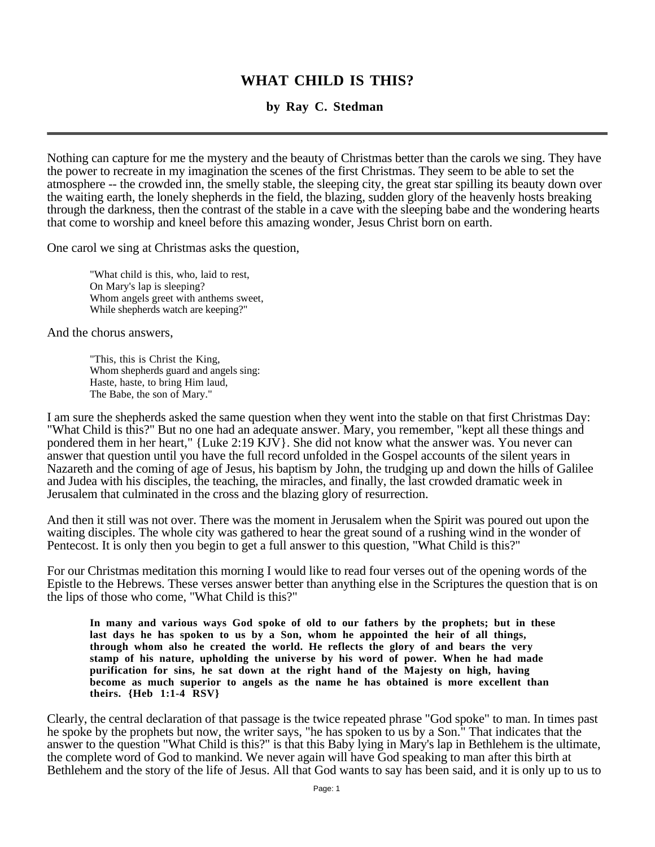# **WHAT CHILD IS THIS?**

**by Ray C. Stedman**

Nothing can capture for me the mystery and the beauty of Christmas better than the carols we sing. They have the power to recreate in my imagination the scenes of the first Christmas. They seem to be able to set the atmosphere -- the crowded inn, the smelly stable, the sleeping city, the great star spilling its beauty down over the waiting earth, the lonely shepherds in the field, the blazing, sudden glory of the heavenly hosts breaking through the darkness, then the contrast of the stable in a cave with the sleeping babe and the wondering hearts that come to worship and kneel before this amazing wonder, Jesus Christ born on earth.

One carol we sing at Christmas asks the question,

"What child is this, who, laid to rest, On Mary's lap is sleeping? Whom angels greet with anthems sweet, While shepherds watch are keeping?"

And the chorus answers,

"This, this is Christ the King, Whom shepherds guard and angels sing: Haste, haste, to bring Him laud, The Babe, the son of Mary."

I am sure the shepherds asked the same question when they went into the stable on that first Christmas Day: "What Child is this?" But no one had an adequate answer. Mary, you remember, "kept all these things and pondered them in her heart," {Luke 2:19 KJV}. She did not know what the answer was. You never can answer that question until you have the full record unfolded in the Gospel accounts of the silent years in Nazareth and the coming of age of Jesus, his baptism by John, the trudging up and down the hills of Galilee and Judea with his disciples, the teaching, the miracles, and finally, the last crowded dramatic week in Jerusalem that culminated in the cross and the blazing glory of resurrection.

And then it still was not over. There was the moment in Jerusalem when the Spirit was poured out upon the waiting disciples. The whole city was gathered to hear the great sound of a rushing wind in the wonder of Pentecost. It is only then you begin to get a full answer to this question, "What Child is this?"

For our Christmas meditation this morning I would like to read four verses out of the opening words of the Epistle to the Hebrews. These verses answer better than anything else in the Scriptures the question that is on the lips of those who come, "What Child is this?"

**In many and various ways God spoke of old to our fathers by the prophets; but in these last days he has spoken to us by a Son, whom he appointed the heir of all things, through whom also he created the world. He reflects the glory of and bears the very stamp of his nature, upholding the universe by his word of power. When he had made purification for sins, he sat down at the right hand of the Majesty on high, having become as much superior to angels as the name he has obtained is more excellent than theirs. {Heb 1:1-4 RSV}**

Clearly, the central declaration of that passage is the twice repeated phrase "God spoke" to man. In times past he spoke by the prophets but now, the writer says, "he has spoken to us by a Son." That indicates that the answer to the question "What Child is this?" is that this Baby lying in Mary's lap in Bethlehem is the ultimate, the complete word of God to mankind. We never again will have God speaking to man after this birth at Bethlehem and the story of the life of Jesus. All that God wants to say has been said, and it is only up to us to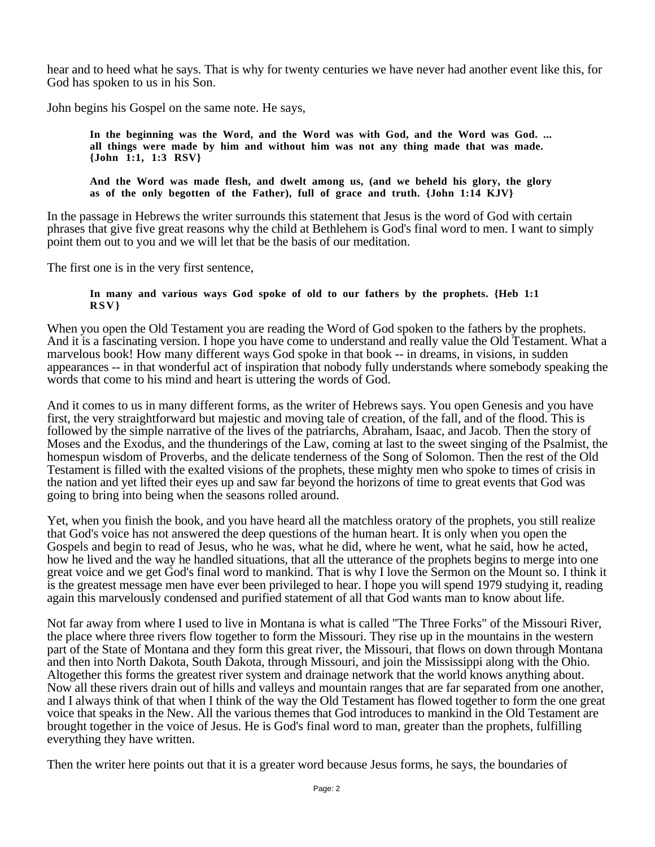hear and to heed what he says. That is why for twenty centuries we have never had another event like this, for God has spoken to us in his Son.

John begins his Gospel on the same note. He says,

**In the beginning was the Word, and the Word was with God, and the Word was God. ... all things were made by him and without him was not any thing made that was made. {John 1:1, 1:3 RSV}**

**And the Word was made flesh, and dwelt among us, (and we beheld his glory, the glory as of the only begotten of the Father), full of grace and truth. {John 1:14 KJV}**

In the passage in Hebrews the writer surrounds this statement that Jesus is the word of God with certain phrases that give five great reasons why the child at Bethlehem is God's final word to men. I want to simply point them out to you and we will let that be the basis of our meditation.

The first one is in the very first sentence,

#### **In many and various ways God spoke of old to our fathers by the prophets. {Heb 1:1 RSV}**

When you open the Old Testament you are reading the Word of God spoken to the fathers by the prophets. And it is a fascinating version. I hope you have come to understand and really value the Old Testament. What a marvelous book! How many different ways God spoke in that book -- in dreams, in visions, in sudden appearances -- in that wonderful act of inspiration that nobody fully understands where somebody speaking the words that come to his mind and heart is uttering the words of God.

And it comes to us in many different forms, as the writer of Hebrews says. You open Genesis and you have first, the very straightforward but majestic and moving tale of creation, of the fall, and of the flood. This is followed by the simple narrative of the lives of the patriarchs, Abraham, Isaac, and Jacob. Then the story of Moses and the Exodus, and the thunderings of the Law, coming at last to the sweet singing of the Psalmist, the homespun wisdom of Proverbs, and the delicate tenderness of the Song of Solomon. Then the rest of the Old Testament is filled with the exalted visions of the prophets, these mighty men who spoke to times of crisis in the nation and yet lifted their eyes up and saw far beyond the horizons of time to great events that God was going to bring into being when the seasons rolled around.

Yet, when you finish the book, and you have heard all the matchless oratory of the prophets, you still realize that God's voice has not answered the deep questions of the human heart. It is only when you open the Gospels and begin to read of Jesus, who he was, what he did, where he went, what he said, how he acted, how he lived and the way he handled situations, that all the utterance of the prophets begins to merge into one great voice and we get God's final word to mankind. That is why I love the Sermon on the Mount so. I think it is the greatest message men have ever been privileged to hear. I hope you will spend 1979 studying it, reading again this marvelously condensed and purified statement of all that God wants man to know about life.

Not far away from where I used to live in Montana is what is called "The Three Forks" of the Missouri River, the place where three rivers flow together to form the Missouri. They rise up in the mountains in the western part of the State of Montana and they form this great river, the Missouri, that flows on down through Montana and then into North Dakota, South Dakota, through Missouri, and join the Mississippi along with the Ohio. Altogether this forms the greatest river system and drainage network that the world knows anything about. Now all these rivers drain out of hills and valleys and mountain ranges that are far separated from one another, and I always think of that when I think of the way the Old Testament has flowed together to form the one great voice that speaks in the New. All the various themes that God introduces to mankind in the Old Testament are brought together in the voice of Jesus. He is God's final word to man, greater than the prophets, fulfilling everything they have written.

Then the writer here points out that it is a greater word because Jesus forms, he says, the boundaries of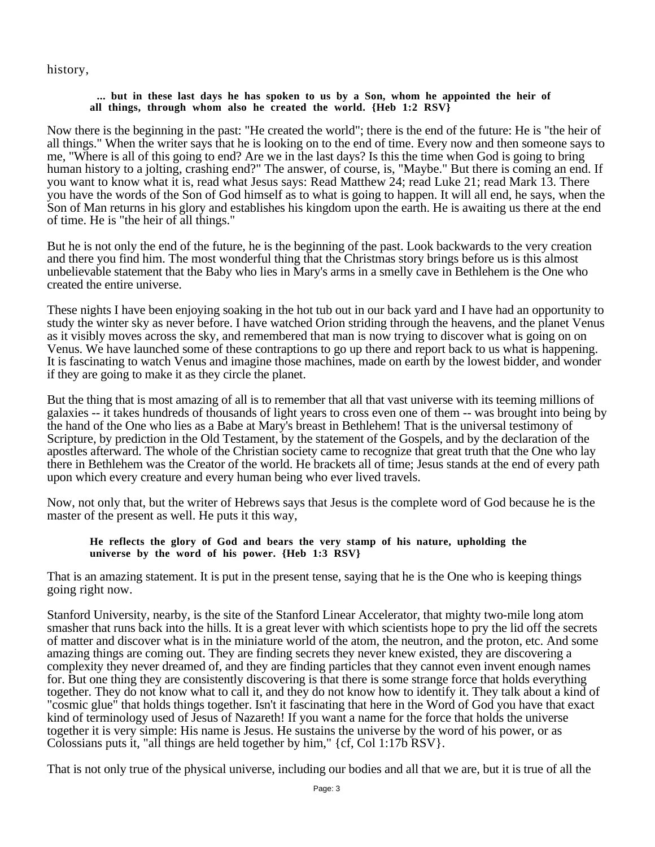### history,

#### **... but in these last days he has spoken to us by a Son, whom he appointed the heir of all things, through whom also he created the world. {Heb 1:2 RSV}**

Now there is the beginning in the past: "He created the world"; there is the end of the future: He is "the heir of all things." When the writer says that he is looking on to the end of time. Every now and then someone says to me, "Where is all of this going to end? Are we in the last days? Is this the time when God is going to bring human history to a jolting, crashing end?" The answer, of course, is, "Maybe." But there is coming an end. If you want to know what it is, read what Jesus says: Read Matthew 24; read Luke 21; read Mark 13. There you have the words of the Son of God himself as to what is going to happen. It will all end, he says, when the Son of Man returns in his glory and establishes his kingdom upon the earth. He is awaiting us there at the end of time. He is "the heir of all things."

But he is not only the end of the future, he is the beginning of the past. Look backwards to the very creation and there you find him. The most wonderful thing that the Christmas story brings before us is this almost unbelievable statement that the Baby who lies in Mary's arms in a smelly cave in Bethlehem is the One who created the entire universe.

These nights I have been enjoying soaking in the hot tub out in our back yard and I have had an opportunity to study the winter sky as never before. I have watched Orion striding through the heavens, and the planet Venus as it visibly moves across the sky, and remembered that man is now trying to discover what is going on on Venus. We have launched some of these contraptions to go up there and report back to us what is happening. It is fascinating to watch Venus and imagine those machines, made on earth by the lowest bidder, and wonder if they are going to make it as they circle the planet.

But the thing that is most amazing of all is to remember that all that vast universe with its teeming millions of galaxies -- it takes hundreds of thousands of light years to cross even one of them -- was brought into being by the hand of the One who lies as a Babe at Mary's breast in Bethlehem! That is the universal testimony of Scripture, by prediction in the Old Testament, by the statement of the Gospels, and by the declaration of the apostles afterward. The whole of the Christian society came to recognize that great truth that the One who lay there in Bethlehem was the Creator of the world. He brackets all of time; Jesus stands at the end of every path upon which every creature and every human being who ever lived travels.

Now, not only that, but the writer of Hebrews says that Jesus is the complete word of God because he is the master of the present as well. He puts it this way,

#### **He reflects the glory of God and bears the very stamp of his nature, upholding the universe by the word of his power. {Heb 1:3 RSV}**

That is an amazing statement. It is put in the present tense, saying that he is the One who is keeping things going right now.

Stanford University, nearby, is the site of the Stanford Linear Accelerator, that mighty two-mile long atom smasher that runs back into the hills. It is a great lever with which scientists hope to pry the lid off the secrets of matter and discover what is in the miniature world of the atom, the neutron, and the proton, etc. And some amazing things are coming out. They are finding secrets they never knew existed, they are discovering a complexity they never dreamed of, and they are finding particles that they cannot even invent enough names for. But one thing they are consistently discovering is that there is some strange force that holds everything together. They do not know what to call it, and they do not know how to identify it. They talk about a kind of "cosmic glue" that holds things together. Isn't it fascinating that here in the Word of God you have that exact kind of terminology used of Jesus of Nazareth! If you want a name for the force that holds the universe together it is very simple: His name is Jesus. He sustains the universe by the word of his power, or as Colossians puts it, "all things are held together by him," {cf, Col 1:17b RSV}.

That is not only true of the physical universe, including our bodies and all that we are, but it is true of all the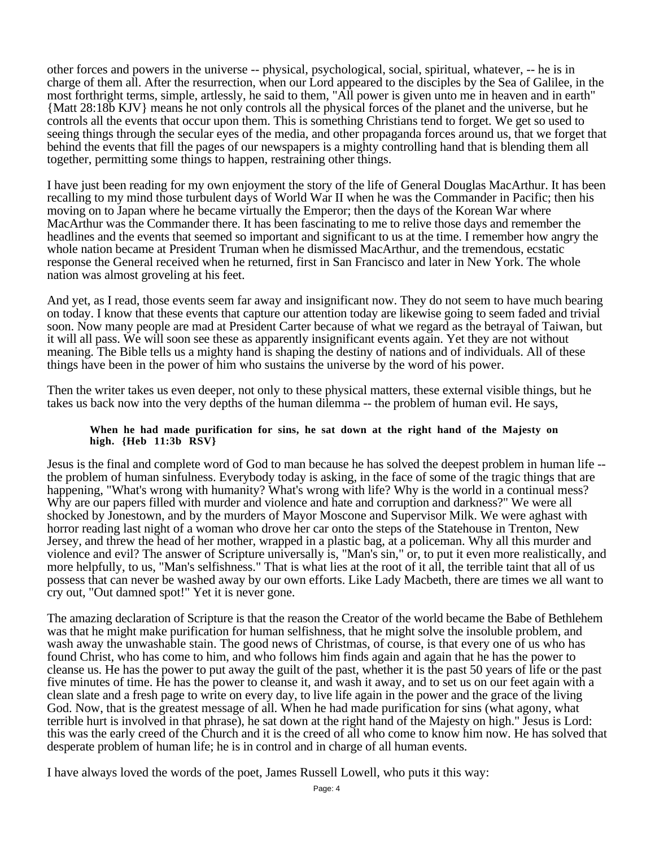other forces and powers in the universe -- physical, psychological, social, spiritual, whatever, -- he is in charge of them all. After the resurrection, when our Lord appeared to the disciples by the Sea of Galilee, in the most forthright terms, simple, artlessly, he said to them, "All power is given unto me in heaven and in earth" {Matt 28:18b KJV} means he not only controls all the physical forces of the planet and the universe, but he controls all the events that occur upon them. This is something Christians tend to forget. We get so used to seeing things through the secular eyes of the media, and other propaganda forces around us, that we forget that behind the events that fill the pages of our newspapers is a mighty controlling hand that is blending them all together, permitting some things to happen, restraining other things.

I have just been reading for my own enjoyment the story of the life of General Douglas MacArthur. It has been recalling to my mind those turbulent days of World War II when he was the Commander in Pacific; then his moving on to Japan where he became virtually the Emperor; then the days of the Korean War where MacArthur was the Commander there. It has been fascinating to me to relive those days and remember the headlines and the events that seemed so important and significant to us at the time. I remember how angry the whole nation became at President Truman when he dismissed MacArthur, and the tremendous, ecstatic response the General received when he returned, first in San Francisco and later in New York. The whole nation was almost groveling at his feet.

And yet, as I read, those events seem far away and insignificant now. They do not seem to have much bearing on today. I know that these events that capture our attention today are likewise going to seem faded and trivial soon. Now many people are mad at President Carter because of what we regard as the betrayal of Taiwan, but it will all pass. We will soon see these as apparently insignificant events again. Yet they are not without meaning. The Bible tells us a mighty hand is shaping the destiny of nations and of individuals. All of these things have been in the power of him who sustains the universe by the word of his power.

Then the writer takes us even deeper, not only to these physical matters, these external visible things, but he takes us back now into the very depths of the human dilemma -- the problem of human evil. He says,

#### **When he had made purification for sins, he sat down at the right hand of the Majesty on high. {Heb 11:3b RSV}**

Jesus is the final and complete word of God to man because he has solved the deepest problem in human life - the problem of human sinfulness. Everybody today is asking, in the face of some of the tragic things that are happening, "What's wrong with humanity? What's wrong with life? Why is the world in a continual mess? Why are our papers filled with murder and violence and hate and corruption and darkness?" We were all shocked by Jonestown, and by the murders of Mayor Moscone and Supervisor Milk. We were aghast with horror reading last night of a woman who drove her car onto the steps of the Statehouse in Trenton, New Jersey, and threw the head of her mother, wrapped in a plastic bag, at a policeman. Why all this murder and violence and evil? The answer of Scripture universally is, "Man's sin," or, to put it even more realistically, and more helpfully, to us, "Man's selfishness." That is what lies at the root of it all, the terrible taint that all of us possess that can never be washed away by our own efforts. Like Lady Macbeth, there are times we all want to cry out, "Out damned spot!" Yet it is never gone.

The amazing declaration of Scripture is that the reason the Creator of the world became the Babe of Bethlehem was that he might make purification for human selfishness, that he might solve the insoluble problem, and wash away the unwashable stain. The good news of Christmas, of course, is that every one of us who has found Christ, who has come to him, and who follows him finds again and again that he has the power to cleanse us. He has the power to put away the guilt of the past, whether it is the past 50 years of life or the past five minutes of time. He has the power to cleanse it, and wash it away, and to set us on our feet again with a clean slate and a fresh page to write on every day, to live life again in the power and the grace of the living God. Now, that is the greatest message of all. When he had made purification for sins (what agony, what terrible hurt is involved in that phrase), he sat down at the right hand of the Majesty on high." Jesus is Lord: this was the early creed of the Church and it is the creed of all who come to know him now. He has solved that desperate problem of human life; he is in control and in charge of all human events.

I have always loved the words of the poet, James Russell Lowell, who puts it this way: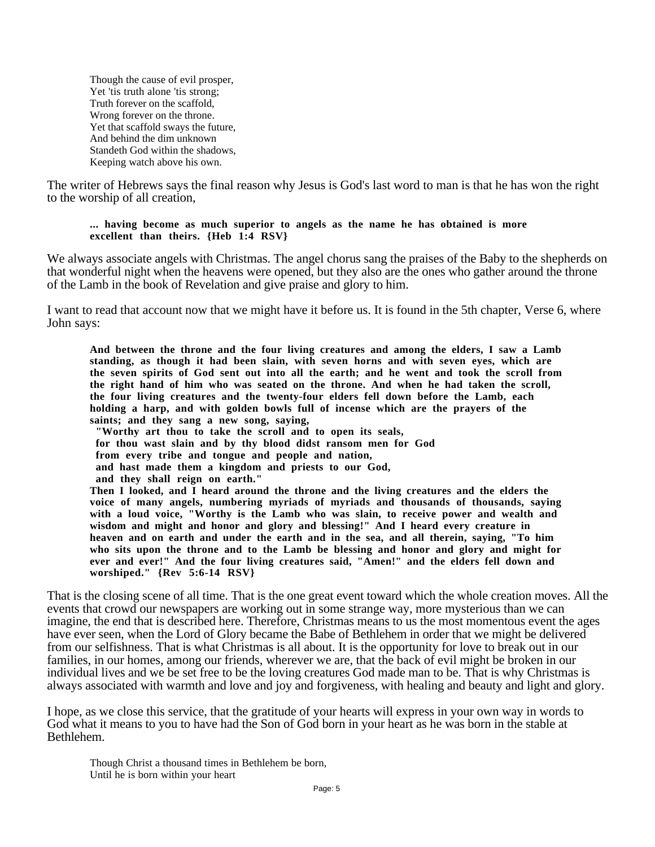Though the cause of evil prosper, Yet 'tis truth alone 'tis strong; Truth forever on the scaffold, Wrong forever on the throne. Yet that scaffold sways the future, And behind the dim unknown Standeth God within the shadows, Keeping watch above his own.

The writer of Hebrews says the final reason why Jesus is God's last word to man is that he has won the right to the worship of all creation,

#### **... having become as much superior to angels as the name he has obtained is more excellent than theirs. {Heb 1:4 RSV}**

We always associate angels with Christmas. The angel chorus sang the praises of the Baby to the shepherds on that wonderful night when the heavens were opened, but they also are the ones who gather around the throne of the Lamb in the book of Revelation and give praise and glory to him.

I want to read that account now that we might have it before us. It is found in the 5th chapter, Verse 6, where John says:

**And between the throne and the four living creatures and among the elders, I saw a Lamb standing, as though it had been slain, with seven horns and with seven eyes, which are the seven spirits of God sent out into all the earth; and he went and took the scroll from the right hand of him who was seated on the throne. And when he had taken the scroll, the four living creatures and the twenty-four elders fell down before the Lamb, each holding a harp, and with golden bowls full of incense which are the prayers of the saints; and they sang a new song, saying, "Worthy art thou to take the scroll and to open its seals, for thou wast slain and by thy blood didst ransom men for God from every tribe and tongue and people and nation, and hast made them a kingdom and priests to our God, and they shall reign on earth." Then I looked, and I heard around the throne and the living creatures and the elders the voice of many angels, numbering myriads of myriads and thousands of thousands, saying with a loud voice, "Worthy is the Lamb who was slain, to receive power and wealth and wisdom and might and honor and glory and blessing!" And I heard every creature in heaven and on earth and under the earth and in the sea, and all therein, saying, "To him who sits upon the throne and to the Lamb be blessing and honor and glory and might for ever and ever!" And the four living creatures said, "Amen!" and the elders fell down and worshiped." {Rev 5:6-14 RSV}**

That is the closing scene of all time. That is the one great event toward which the whole creation moves. All the events that crowd our newspapers are working out in some strange way, more mysterious than we can imagine, the end that is described here. Therefore, Christmas means to us the most momentous event the ages have ever seen, when the Lord of Glory became the Babe of Bethlehem in order that we might be delivered from our selfishness. That is what Christmas is all about. It is the opportunity for love to break out in our families, in our homes, among our friends, wherever we are, that the back of evil might be broken in our individual lives and we be set free to be the loving creatures God made man to be. That is why Christmas is always associated with warmth and love and joy and forgiveness, with healing and beauty and light and glory.

I hope, as we close this service, that the gratitude of your hearts will express in your own way in words to God what it means to you to have had the Son of God born in your heart as he was born in the stable at Bethlehem.

Though Christ a thousand times in Bethlehem be born, Until he is born within your heart